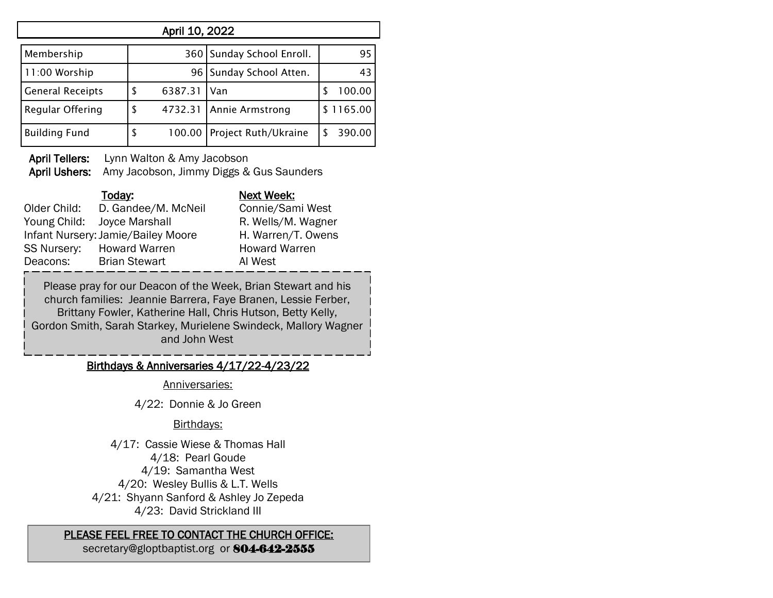| April 10, 2022          |    |         |                             |  |           |  |
|-------------------------|----|---------|-----------------------------|--|-----------|--|
| Membership              |    |         | 360   Sunday School Enroll. |  | 95        |  |
| 11:00 Worship           |    | 96      | Sunday School Atten.        |  | 43        |  |
| <b>General Receipts</b> |    | 6387.31 | Van                         |  | 100.00    |  |
| Regular Offering        | \$ | 4732.31 | <b>Annie Armstrong</b>      |  | \$1165.00 |  |
| <b>Building Fund</b>    | \$ |         | 100.00 Project Ruth/Ukraine |  | 390.00    |  |

April Tellers: Lynn Walton & Amy Jacobson

April Ushers: Amy Jacobson, Jimmy Diggs & Gus Saunders

|                    | Today:                             | Next Week:           |
|--------------------|------------------------------------|----------------------|
| Older Child:       | D. Gandee/M. McNeil                | Connie/Sami West     |
| Young Child:       | Joyce Marshall                     | R. Wells/M. Wagner   |
|                    | Infant Nursery: Jamie/Bailey Moore | H. Warren/T. Owens   |
| <b>SS Nursery:</b> | <b>Howard Warren</b>               | <b>Howard Warren</b> |
| Deacons:           | <b>Brian Stewart</b>               | AI West              |

Please pray for our Deacon of the Week, Brian Stewart and his church families: Jeannie Barrera, Faye Branen, Lessie Ferber, Brittany Fowler, Katherine Hall, Chris Hutson, Betty Kelly, Gordon Smith, Sarah Starkey, Murielene Swindeck, Mallory Wagner and John West

## Birthdays & Anniversaries 4/17/22-4/23/22

Anniversaries:

4/22: Donnie & Jo Green

## Birthdays:

4/17: Cassie Wiese & Thomas Hall 4/18: Pearl Goude 4/19: Samantha West 4/20: Wesley Bullis & L.T. Wells 4/21: Shyann Sanford & Ashley Jo Zepeda 4/23: David Strickland III

## PLEASE FEEL FREE TO CONTACT THE CHURCH OFFICE:

secretary@gloptbaptist.org or 804-642-2555